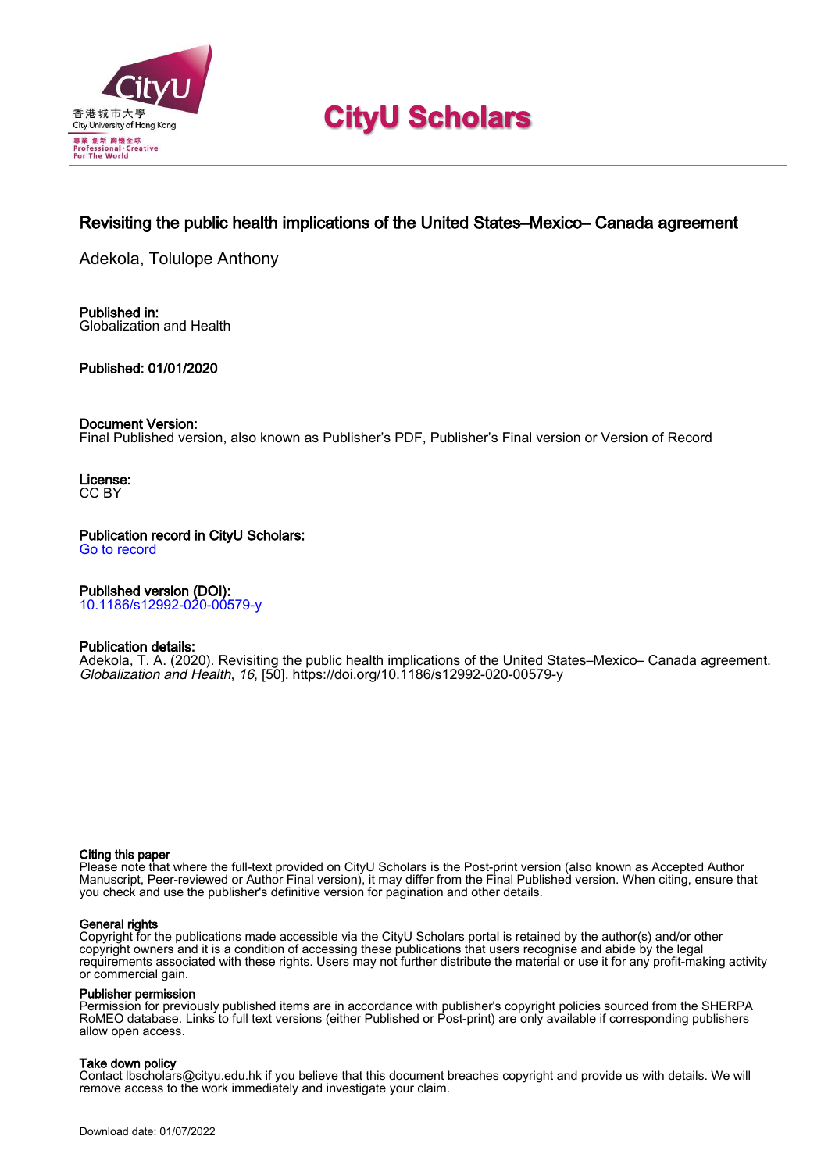

# **CityU Scholars**

# Revisiting the public health implications of the United States–Mexico– Canada agreement

Adekola, Tolulope Anthony

Published in: Globalization and Health

Published: 01/01/2020

# Document Version:

Final Published version, also known as Publisher's PDF, Publisher's Final version or Version of Record

License: CC BY

Publication record in CityU Scholars: [Go to record](https://scholars.cityu.edu.hk/en/publications/revisiting-the-public-health-implications-of-the-united-statesmexico-canada-agreement(5bb2f920-51a4-4efc-b513-cce9825c5387).html)

# Published version (DOI):

[10.1186/s12992-020-00579-y](https://doi.org/10.1186/s12992-020-00579-y)

# Publication details:

[Adekola, T. A.](https://scholars.cityu.edu.hk/en/persons/tolulope-anthony-adekola(a2f91db5-2c89-4212-99cb-35aff7fe39b3).html) (2020). [Revisiting the public health implications of the United States–Mexico– Canada agreement](https://scholars.cityu.edu.hk/en/publications/revisiting-the-public-health-implications-of-the-united-statesmexico-canada-agreement(5bb2f920-51a4-4efc-b513-cce9825c5387).html). [Globalization and Health](https://scholars.cityu.edu.hk/en/journals/globalization-and-health(b84f2df7-eefa-4c4d-8c30-536031bf2d67)/publications.html), 16, [50].<https://doi.org/10.1186/s12992-020-00579-y>

## Citing this paper

Please note that where the full-text provided on CityU Scholars is the Post-print version (also known as Accepted Author Manuscript, Peer-reviewed or Author Final version), it may differ from the Final Published version. When citing, ensure that you check and use the publisher's definitive version for pagination and other details.

## General rights

Copyright for the publications made accessible via the CityU Scholars portal is retained by the author(s) and/or other copyright owners and it is a condition of accessing these publications that users recognise and abide by the legal requirements associated with these rights. Users may not further distribute the material or use it for any profit-making activity or commercial gain.

### Publisher permission

Permission for previously published items are in accordance with publisher's copyright policies sourced from the SHERPA RoMEO database. Links to full text versions (either Published or Post-print) are only available if corresponding publishers allow open access.

### Take down policy

Contact lbscholars@cityu.edu.hk if you believe that this document breaches copyright and provide us with details. We will remove access to the work immediately and investigate your claim.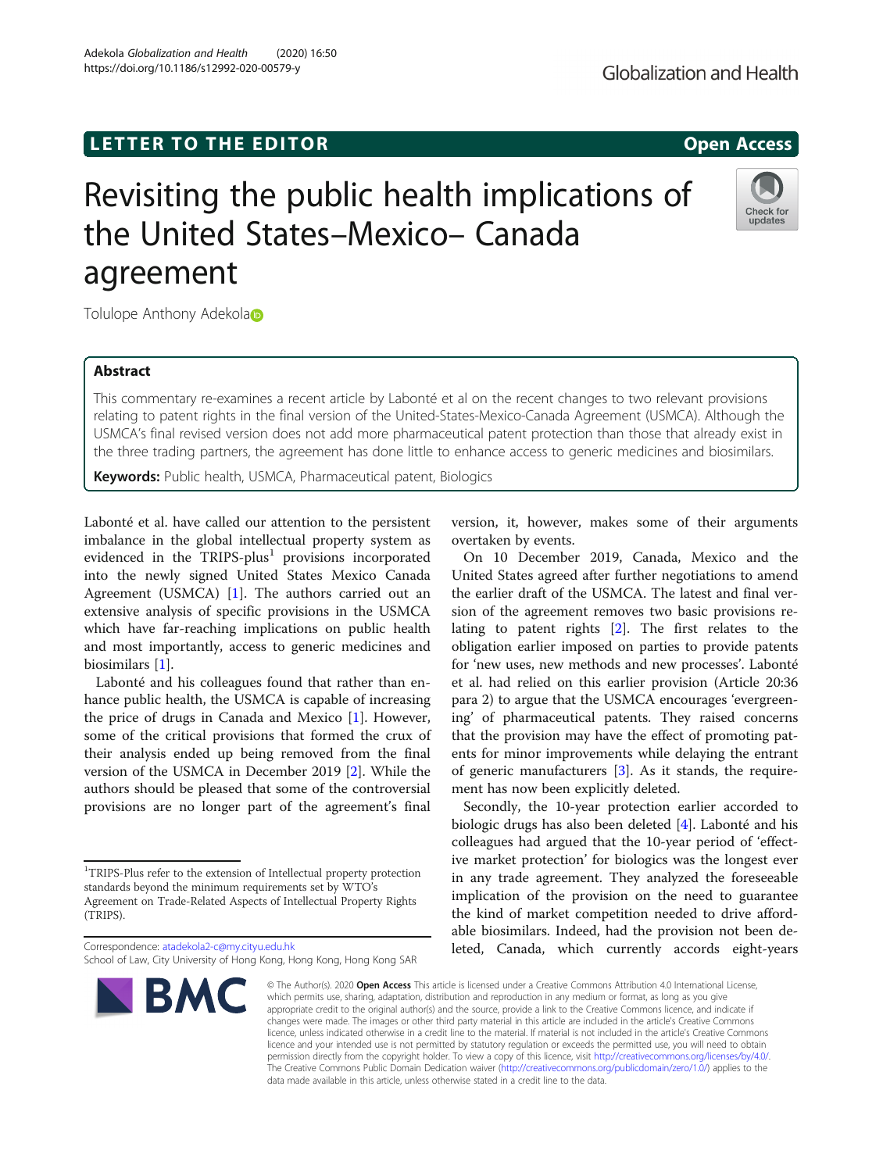# **LETTER TO THE EDITOR CONSTRUCTED ACCESS**

# Revisiting the public health implications of the United States–Mexico– Canada agreement

Tolulope Anthony Adekolato

# Abstract

This commentary re-examines a recent article by Labonté et al on the recent changes to two relevant provisions relating to patent rights in the final version of the United-States-Mexico-Canada Agreement (USMCA). Although the USMCA's final revised version does not add more pharmaceutical patent protection than those that already exist in the three trading partners, the agreement has done little to enhance access to generic medicines and biosimilars.

Keywords: Public health, USMCA, Pharmaceutical patent, Biologics

Labonté et al. have called our attention to the persistent imbalance in the global intellectual property system as evidenced in the  $TRIPS$ -plus<sup>1</sup> provisions incorporated into the newly signed United States Mexico Canada Agreement (USMCA) [\[1](#page-2-0)]. The authors carried out an extensive analysis of specific provisions in the USMCA which have far-reaching implications on public health and most importantly, access to generic medicines and biosimilars [\[1\]](#page-2-0).

Labonté and his colleagues found that rather than enhance public health, the USMCA is capable of increasing the price of drugs in Canada and Mexico [[1\]](#page-2-0). However, some of the critical provisions that formed the crux of their analysis ended up being removed from the final version of the USMCA in December 2019 [\[2](#page-2-0)]. While the authors should be pleased that some of the controversial provisions are no longer part of the agreement's final

<sup>1</sup>TRIPS-Plus refer to the extension of Intellectual property protection standards beyond the minimum requirements set by WTO's Agreement on Trade-Related Aspects of Intellectual Property Rights (TRIPS).

Correspondence: [atadekola2-c@my.cityu.edu.hk](mailto:atadekola2-c@my.cityu.edu.hk) School of Law, City University of Hong Kong, Hong Kong, Hong Kong SAR

**BMC** 

version, it, however, makes some of their arguments overtaken by events.

On 10 December 2019, Canada, Mexico and the United States agreed after further negotiations to amend the earlier draft of the USMCA. The latest and final version of the agreement removes two basic provisions relating to patent rights [[2\]](#page-2-0). The first relates to the obligation earlier imposed on parties to provide patents for 'new uses, new methods and new processes'. Labonté et al. had relied on this earlier provision (Article 20:36 para 2) to argue that the USMCA encourages 'evergreening' of pharmaceutical patents. They raised concerns that the provision may have the effect of promoting patents for minor improvements while delaying the entrant of generic manufacturers [\[3](#page-2-0)]. As it stands, the requirement has now been explicitly deleted.

Secondly, the 10-year protection earlier accorded to biologic drugs has also been deleted [\[4](#page-2-0)]. Labonté and his colleagues had argued that the 10-year period of 'effective market protection' for biologics was the longest ever in any trade agreement. They analyzed the foreseeable implication of the provision on the need to guarantee the kind of market competition needed to drive affordable biosimilars. Indeed, had the provision not been deleted, Canada, which currently accords eight-years

© The Author(s), 2020 **Open Access** This article is licensed under a Creative Commons Attribution 4.0 International License, which permits use, sharing, adaptation, distribution and reproduction in any medium or format, as long as you give appropriate credit to the original author(s) and the source, provide a link to the Creative Commons licence, and indicate if changes were made. The images or other third party material in this article are included in the article's Creative Commons licence, unless indicated otherwise in a credit line to the material. If material is not included in the article's Creative Commons licence and your intended use is not permitted by statutory regulation or exceeds the permitted use, you will need to obtain permission directly from the copyright holder. To view a copy of this licence, visit [http://creativecommons.org/licenses/by/4.0/.](http://creativecommons.org/licenses/by/4.0/) The Creative Commons Public Domain Dedication waiver [\(http://creativecommons.org/publicdomain/zero/1.0/](http://creativecommons.org/publicdomain/zero/1.0/)) applies to the data made available in this article, unless otherwise stated in a credit line to the data.